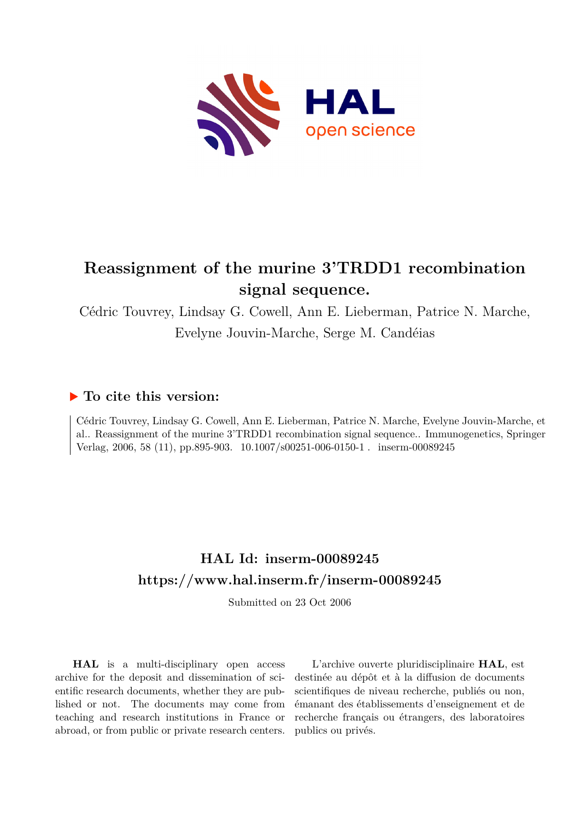

# **Reassignment of the murine 3'TRDD1 recombination signal sequence.**

Cédric Touvrey, Lindsay G. Cowell, Ann E. Lieberman, Patrice N. Marche, Evelyne Jouvin-Marche, Serge M. Candéias

### **To cite this version:**

Cédric Touvrey, Lindsay G. Cowell, Ann E. Lieberman, Patrice N. Marche, Evelyne Jouvin-Marche, et al.. Reassignment of the murine 3'TRDD1 recombination signal sequence.. Immunogenetics, Springer Verlag, 2006, 58 (11), pp.895-903. 10.1007/s00251-006-0150-1 . inserm-00089245

# **HAL Id: inserm-00089245 <https://www.hal.inserm.fr/inserm-00089245>**

Submitted on 23 Oct 2006

**HAL** is a multi-disciplinary open access archive for the deposit and dissemination of scientific research documents, whether they are published or not. The documents may come from teaching and research institutions in France or abroad, or from public or private research centers.

L'archive ouverte pluridisciplinaire **HAL**, est destinée au dépôt et à la diffusion de documents scientifiques de niveau recherche, publiés ou non, émanant des établissements d'enseignement et de recherche français ou étrangers, des laboratoires publics ou privés.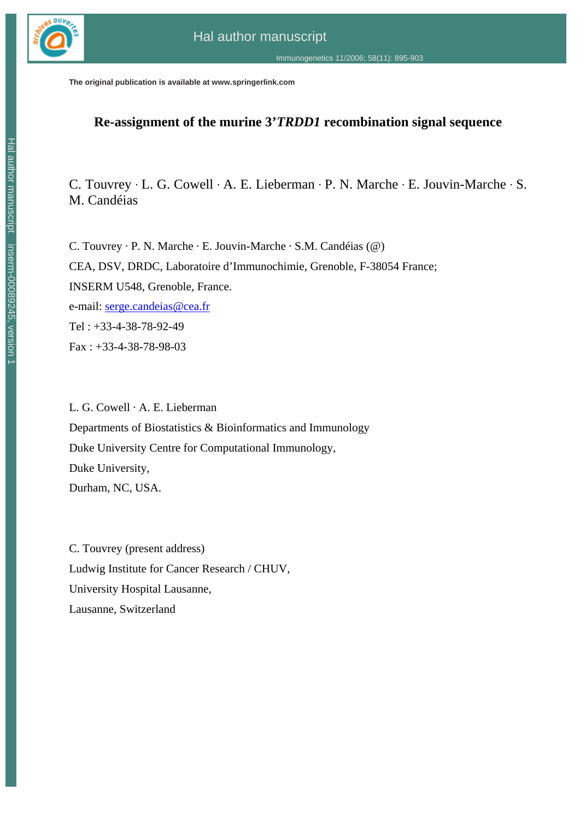

**The original publication is available at www.springerlink.com**

### **Re-assignment of the murine 3'***TRDD1* **recombination signal sequence**

C. Touvrey · L. G. Cowell · A. E. Lieberman · P. N. Marche · E. Jouvin-Marche · S. M. Candéias

C. Touvrey · P. N. Marche · E. Jouvin-Marche · S.M. Candéias (@) CEA, DSV, DRDC, Laboratoire d'Immunochimie, Grenoble, F-38054 France; INSERM U548, Grenoble, France. e-mail: serge.candeias@cea.fr Tel : +33-4-38-78-92-49 Fax : +33-4-38-78-98-03

L. G. Cowell · A. E. Lieberman Departments of Biostatistics & Bioinformatics and Immunology Duke University Centre for Computational Immunology, Duke University, Durham, NC, USA.

C. Touvrey (present address) Ludwig Institute for Cancer Research / CHUV, University Hospital Lausanne, Lausanne, Switzerland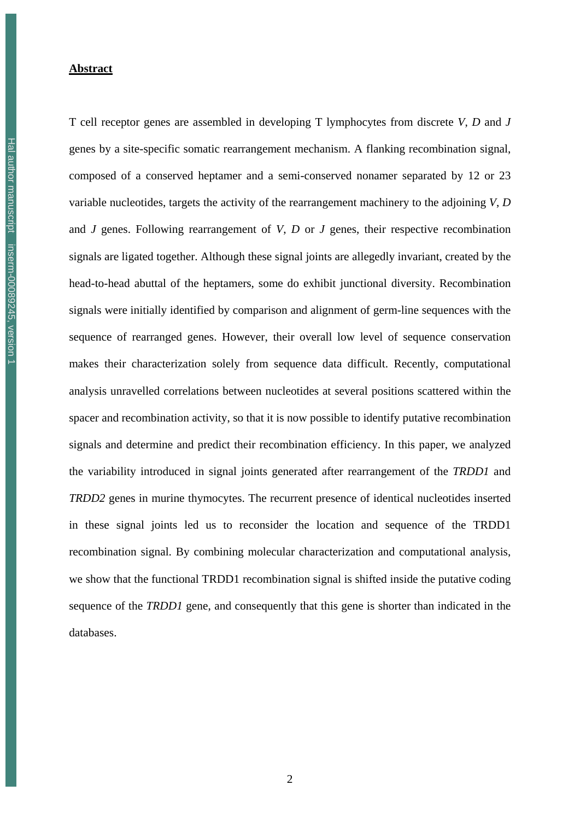#### **Abstract**

T cell receptor genes are assembled in developing T lymphocytes from discrete *V*, *D* and *J* genes by a site-specific somatic rearrangement mechanism. A flanking recombination signal, composed of a conserved heptamer and a semi-conserved nonamer separated by 12 or 23 variable nucleotides, targets the activity of the rearrangement machinery to the adjoining *V*, *D* and *J* genes. Following rearrangement of *V*, *D* or *J* genes, their respective recombination signals are ligated together. Although these signal joints are allegedly invariant, created by the head-to-head abuttal of the heptamers, some do exhibit junctional diversity. Recombination signals were initially identified by comparison and alignment of germ-line sequences with the sequence of rearranged genes. However, their overall low level of sequence conservation makes their characterization solely from sequence data difficult. Recently, computational analysis unravelled correlations between nucleotides at several positions scattered within the spacer and recombination activity, so that it is now possible to identify putative recombination signals and determine and predict their recombination efficiency. In this paper, we analyzed the variability introduced in signal joints generated after rearrangement of the *TRDD1* and *TRDD2* genes in murine thymocytes. The recurrent presence of identical nucleotides inserted in these signal joints led us to reconsider the location and sequence of the TRDD1 recombination signal. By combining molecular characterization and computational analysis, we show that the functional TRDD1 recombination signal is shifted inside the putative coding sequence of the *TRDD1* gene, and consequently that this gene is shorter than indicated in the databases.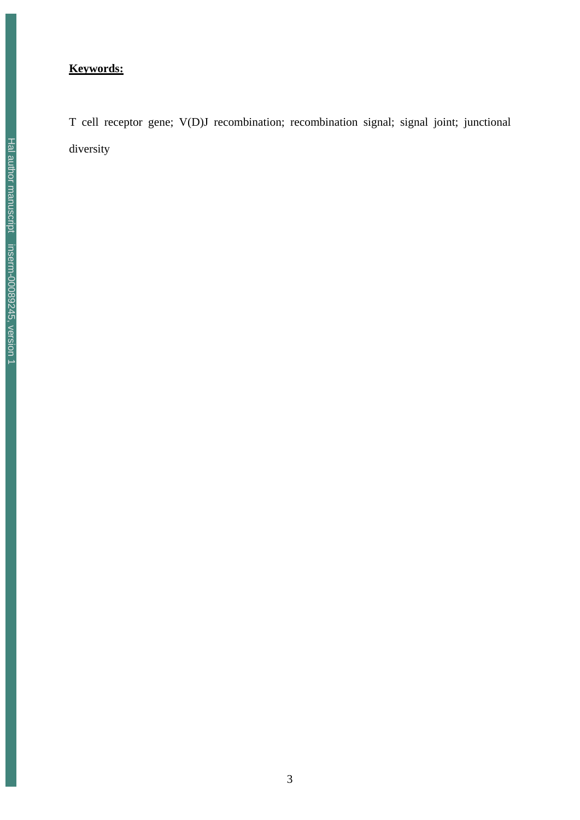### **Keywords:**

T cell receptor gene; V(D)J recombination; recombination signal; signal joint; junctional diversity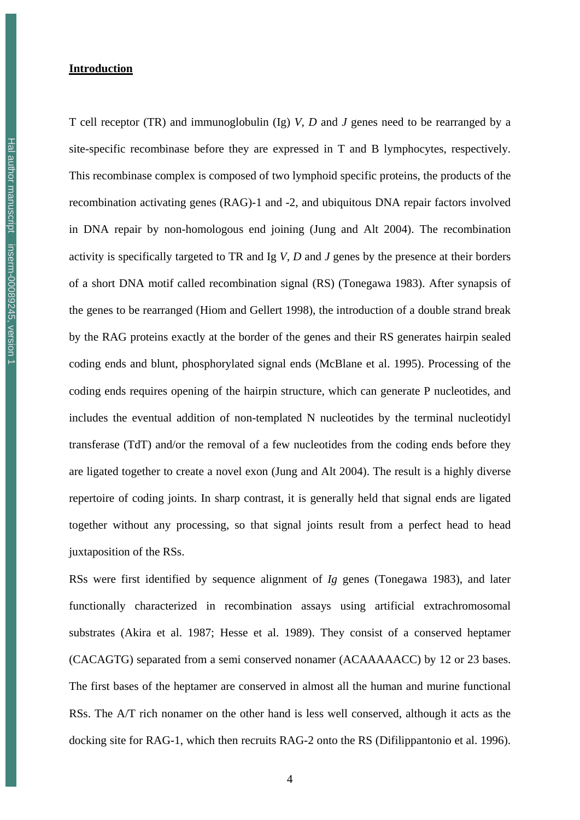#### **Introduction**

T cell receptor (TR) and immunoglobulin (Ig) *V*, *D* and *J* genes need to be rearranged by a site-specific recombinase before they are expressed in T and B lymphocytes, respectively. This recombinase complex is composed of two lymphoid specific proteins, the products of the recombination activating genes (RAG)-1 and -2, and ubiquitous DNA repair factors involved in DNA repair by non-homologous end joining (Jung and Alt 2004). The recombination activity is specifically targeted to TR and Ig *V*, *D* and *J* genes by the presence at their borders of a short DNA motif called recombination signal (RS) (Tonegawa 1983). After synapsis of the genes to be rearranged (Hiom and Gellert 1998), the introduction of a double strand break by the RAG proteins exactly at the border of the genes and their RS generates hairpin sealed coding ends and blunt, phosphorylated signal ends (McBlane et al. 1995). Processing of the coding ends requires opening of the hairpin structure, which can generate P nucleotides, and includes the eventual addition of non-templated N nucleotides by the terminal nucleotidyl transferase (TdT) and/or the removal of a few nucleotides from the coding ends before they are ligated together to create a novel exon (Jung and Alt 2004). The result is a highly diverse repertoire of coding joints. In sharp contrast, it is generally held that signal ends are ligated together without any processing, so that signal joints result from a perfect head to head juxtaposition of the RSs.

RSs were first identified by sequence alignment of *Ig* genes (Tonegawa 1983), and later functionally characterized in recombination assays using artificial extrachromosomal substrates (Akira et al. 1987; Hesse et al. 1989). They consist of a conserved heptamer (CACAGTG) separated from a semi conserved nonamer (ACAAAAACC) by 12 or 23 bases. The first bases of the heptamer are conserved in almost all the human and murine functional RSs. The A/T rich nonamer on the other hand is less well conserved, although it acts as the docking site for RAG-1, which then recruits RAG-2 onto the RS (Difilippantonio et al. 1996).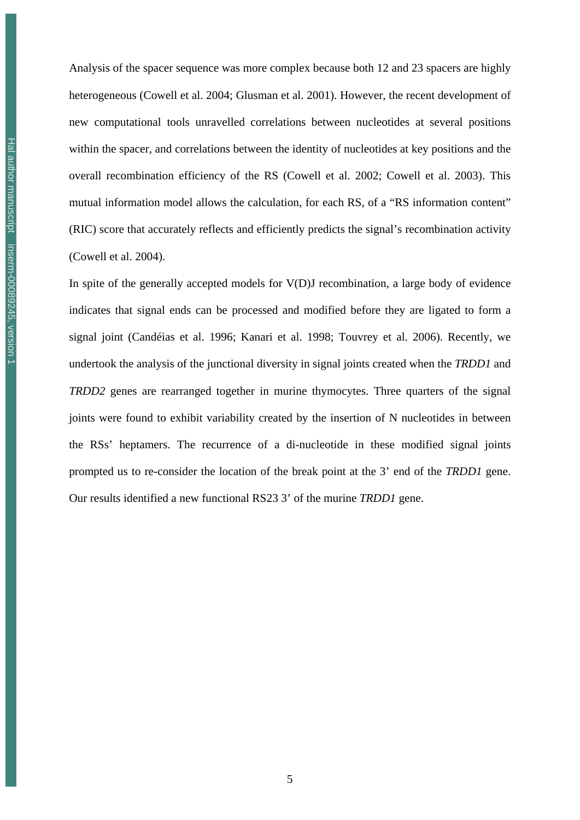Analysis of the spacer sequence was more complex because both 12 and 23 spacers are highly heterogeneous (Cowell et al. 2004; Glusman et al. 2001). However, the recent development of new computational tools unravelled correlations between nucleotides at several positions within the spacer, and correlations between the identity of nucleotides at key positions and the overall recombination efficiency of the RS (Cowell et al. 2002; Cowell et al. 2003). This mutual information model allows the calculation, for each RS, of a "RS information content" (RIC) score that accurately reflects and efficiently predicts the signal's recombination activity (Cowell et al. 2004).

In spite of the generally accepted models for V(D)J recombination, a large body of evidence indicates that signal ends can be processed and modified before they are ligated to form a signal joint (Candéias et al. 1996; Kanari et al. 1998; Touvrey et al. 2006). Recently, we undertook the analysis of the junctional diversity in signal joints created when the *TRDD1* and *TRDD2* genes are rearranged together in murine thymocytes. Three quarters of the signal joints were found to exhibit variability created by the insertion of N nucleotides in between the RSs' heptamers. The recurrence of a di-nucleotide in these modified signal joints prompted us to re-consider the location of the break point at the 3' end of the *TRDD1* gene. Our results identified a new functional RS23 3' of the murine *TRDD1* gene.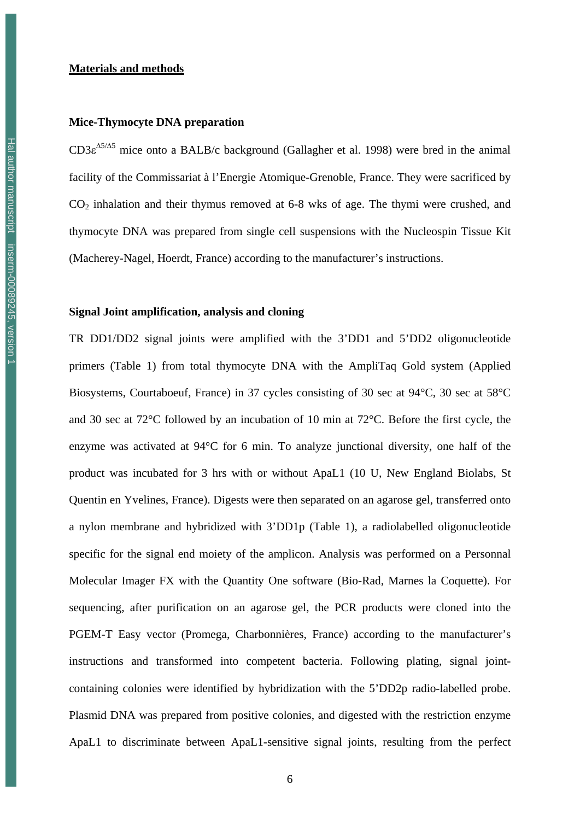#### **Materials and methods**

#### **Mice-Thymocyte DNA preparation**

 $CD3\varepsilon^{45/45}$  mice onto a BALB/c background (Gallagher et al. 1998) were bred in the animal facility of the Commissariat à l'Energie Atomique-Grenoble, France. They were sacrificed by CO2 inhalation and their thymus removed at 6-8 wks of age. The thymi were crushed, and thymocyte DNA was prepared from single cell suspensions with the Nucleospin Tissue Kit (Macherey-Nagel, Hoerdt, France) according to the manufacturer's instructions.

#### **Signal Joint amplification, analysis and cloning**

TR DD1/DD2 signal joints were amplified with the 3'DD1 and 5'DD2 oligonucleotide primers (Table 1) from total thymocyte DNA with the AmpliTaq Gold system (Applied Biosystems, Courtaboeuf, France) in 37 cycles consisting of 30 sec at 94°C, 30 sec at 58°C and 30 sec at 72°C followed by an incubation of 10 min at 72°C. Before the first cycle, the enzyme was activated at 94°C for 6 min. To analyze junctional diversity, one half of the product was incubated for 3 hrs with or without ApaL1 (10 U, New England Biolabs, St Quentin en Yvelines, France). Digests were then separated on an agarose gel, transferred onto a nylon membrane and hybridized with 3'DD1p (Table 1), a radiolabelled oligonucleotide specific for the signal end moiety of the amplicon. Analysis was performed on a Personnal Molecular Imager FX with the Quantity One software (Bio-Rad, Marnes la Coquette). For sequencing, after purification on an agarose gel, the PCR products were cloned into the PGEM-T Easy vector (Promega, Charbonnières, France) according to the manufacturer's instructions and transformed into competent bacteria. Following plating, signal jointcontaining colonies were identified by hybridization with the 5'DD2p radio-labelled probe. Plasmid DNA was prepared from positive colonies, and digested with the restriction enzyme ApaL1 to discriminate between ApaL1-sensitive signal joints, resulting from the perfect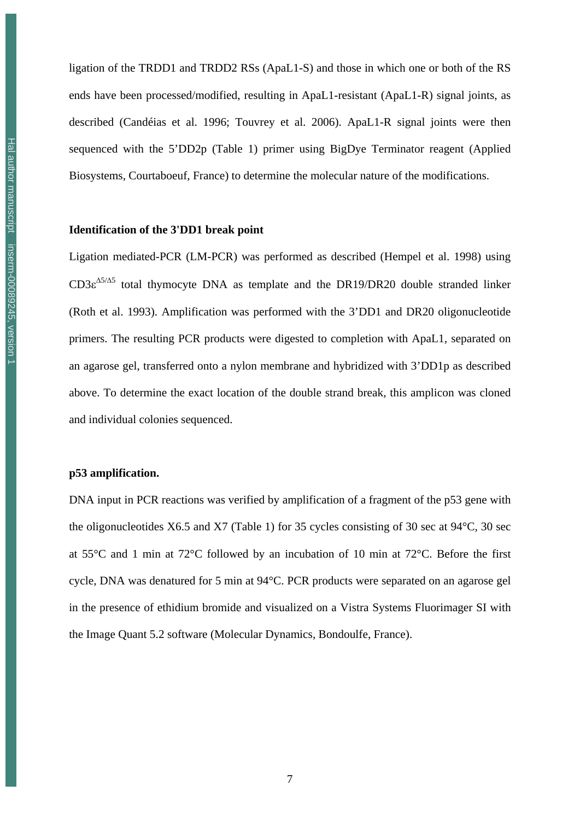ligation of the TRDD1 and TRDD2 RSs (ApaL1-S) and those in which one or both of the RS ends have been processed/modified, resulting in ApaL1-resistant (ApaL1-R) signal joints, as described (Candéias et al. 1996; Touvrey et al. 2006). ApaL1-R signal joints were then sequenced with the 5'DD2p (Table 1) primer using BigDye Terminator reagent (Applied Biosystems, Courtaboeuf, France) to determine the molecular nature of the modifications.

#### **Identification of the 3'DD1 break point**

Ligation mediated-PCR (LM-PCR) was performed as described (Hempel et al. 1998) using  $CD3\varepsilon^{45/45}$  total thymocyte DNA as template and the DR19/DR20 double stranded linker (Roth et al. 1993). Amplification was performed with the 3'DD1 and DR20 oligonucleotide primers. The resulting PCR products were digested to completion with ApaL1, separated on an agarose gel, transferred onto a nylon membrane and hybridized with 3'DD1p as described above. To determine the exact location of the double strand break, this amplicon was cloned and individual colonies sequenced.

#### **p53 amplification.**

DNA input in PCR reactions was verified by amplification of a fragment of the p53 gene with the oligonucleotides X6.5 and X7 (Table 1) for 35 cycles consisting of 30 sec at 94°C, 30 sec at 55°C and 1 min at 72°C followed by an incubation of 10 min at 72°C. Before the first cycle, DNA was denatured for 5 min at 94°C. PCR products were separated on an agarose gel in the presence of ethidium bromide and visualized on a Vistra Systems Fluorimager SI with the Image Quant 5.2 software (Molecular Dynamics, Bondoulfe, France).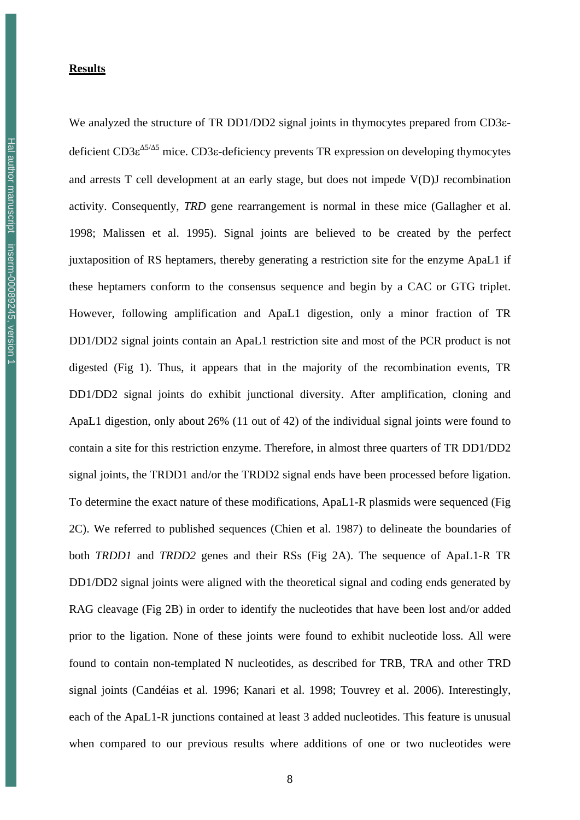#### **Results**

We analyzed the structure of TR DD1/DD2 signal joints in thymocytes prepared from CD3εdeficient  $CD3\varepsilon^{\Delta 5/\Delta 5}$  mice. CD3 $\varepsilon$ -deficiency prevents TR expression on developing thymocytes and arrests T cell development at an early stage, but does not impede V(D)J recombination activity. Consequently, *TRD* gene rearrangement is normal in these mice (Gallagher et al. 1998; Malissen et al. 1995). Signal joints are believed to be created by the perfect juxtaposition of RS heptamers, thereby generating a restriction site for the enzyme ApaL1 if these heptamers conform to the consensus sequence and begin by a CAC or GTG triplet. However, following amplification and ApaL1 digestion, only a minor fraction of TR DD1/DD2 signal joints contain an ApaL1 restriction site and most of the PCR product is not digested (Fig 1). Thus, it appears that in the majority of the recombination events, TR DD1/DD2 signal joints do exhibit junctional diversity. After amplification, cloning and ApaL1 digestion, only about 26% (11 out of 42) of the individual signal joints were found to contain a site for this restriction enzyme. Therefore, in almost three quarters of TR DD1/DD2 signal joints, the TRDD1 and/or the TRDD2 signal ends have been processed before ligation. To determine the exact nature of these modifications, ApaL1-R plasmids were sequenced (Fig 2C). We referred to published sequences (Chien et al. 1987) to delineate the boundaries of both *TRDD1* and *TRDD2* genes and their RSs (Fig 2A). The sequence of ApaL1-R TR DD1/DD2 signal joints were aligned with the theoretical signal and coding ends generated by RAG cleavage (Fig 2B) in order to identify the nucleotides that have been lost and/or added prior to the ligation. None of these joints were found to exhibit nucleotide loss. All were found to contain non-templated N nucleotides, as described for TRB, TRA and other TRD signal joints (Candéias et al. 1996; Kanari et al. 1998; Touvrey et al. 2006). Interestingly, each of the ApaL1-R junctions contained at least 3 added nucleotides. This feature is unusual when compared to our previous results where additions of one or two nucleotides were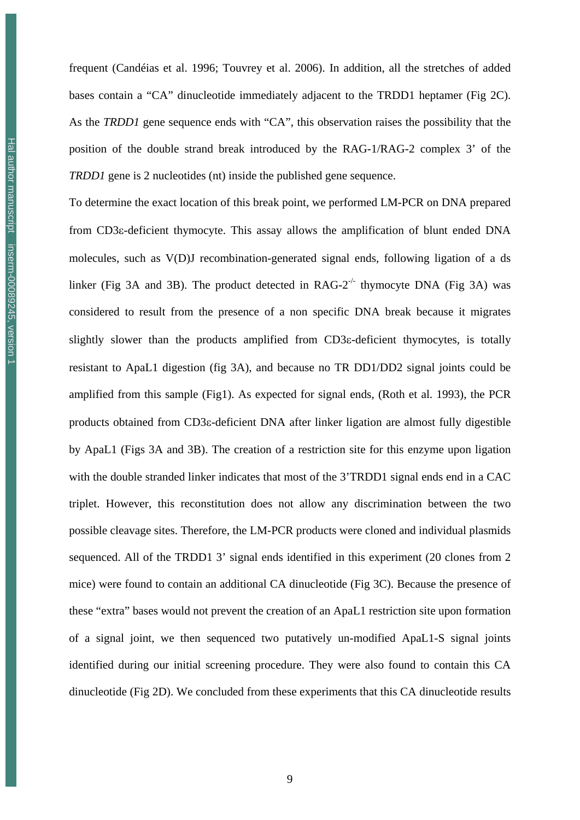frequent (Candéias et al. 1996; Touvrey et al. 2006). In addition, all the stretches of added bases contain a "CA" dinucleotide immediately adjacent to the TRDD1 heptamer (Fig 2C). As the *TRDD1* gene sequence ends with "CA", this observation raises the possibility that the position of the double strand break introduced by the RAG-1/RAG-2 complex 3' of the *TRDD1* gene is 2 nucleotides (nt) inside the published gene sequence.

To determine the exact location of this break point, we performed LM-PCR on DNA prepared from CD3ε-deficient thymocyte. This assay allows the amplification of blunt ended DNA molecules, such as V(D)J recombination-generated signal ends, following ligation of a ds linker (Fig 3A and 3B). The product detected in  $RAG-2^{-/-}$  thymocyte DNA (Fig 3A) was considered to result from the presence of a non specific DNA break because it migrates slightly slower than the products amplified from CD3ε-deficient thymocytes, is totally resistant to ApaL1 digestion (fig 3A), and because no TR DD1/DD2 signal joints could be amplified from this sample (Fig1). As expected for signal ends, (Roth et al. 1993), the PCR products obtained from CD3ε-deficient DNA after linker ligation are almost fully digestible by ApaL1 (Figs 3A and 3B). The creation of a restriction site for this enzyme upon ligation with the double stranded linker indicates that most of the 3'TRDD1 signal ends end in a CAC triplet. However, this reconstitution does not allow any discrimination between the two possible cleavage sites. Therefore, the LM-PCR products were cloned and individual plasmids sequenced. All of the TRDD1 3' signal ends identified in this experiment (20 clones from 2 mice) were found to contain an additional CA dinucleotide (Fig 3C). Because the presence of these "extra" bases would not prevent the creation of an ApaL1 restriction site upon formation of a signal joint, we then sequenced two putatively un-modified ApaL1-S signal joints identified during our initial screening procedure. They were also found to contain this CA dinucleotide (Fig 2D). We concluded from these experiments that this CA dinucleotide results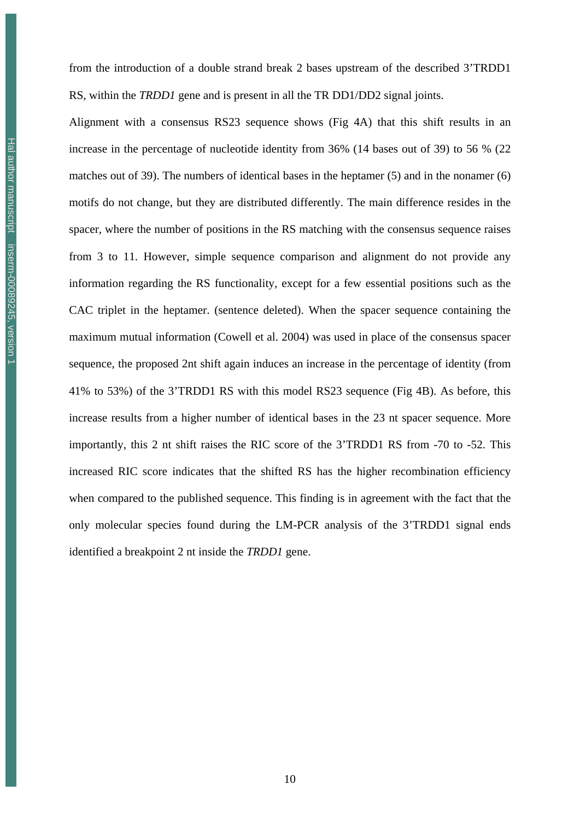from the introduction of a double strand break 2 bases upstream of the described 3'TRDD1 RS, within the *TRDD1* gene and is present in all the TR DD1/DD2 signal joints.

Alignment with a consensus RS23 sequence shows (Fig 4A) that this shift results in an increase in the percentage of nucleotide identity from 36% (14 bases out of 39) to 56 % (22 matches out of 39). The numbers of identical bases in the heptamer (5) and in the nonamer (6) motifs do not change, but they are distributed differently. The main difference resides in the spacer, where the number of positions in the RS matching with the consensus sequence raises from 3 to 11. However, simple sequence comparison and alignment do not provide any information regarding the RS functionality, except for a few essential positions such as the CAC triplet in the heptamer. (sentence deleted). When the spacer sequence containing the maximum mutual information (Cowell et al. 2004) was used in place of the consensus spacer sequence, the proposed 2nt shift again induces an increase in the percentage of identity (from 41% to 53%) of the 3'TRDD1 RS with this model RS23 sequence (Fig 4B). As before, this increase results from a higher number of identical bases in the 23 nt spacer sequence. More importantly, this 2 nt shift raises the RIC score of the 3'TRDD1 RS from -70 to -52. This increased RIC score indicates that the shifted RS has the higher recombination efficiency when compared to the published sequence. This finding is in agreement with the fact that the only molecular species found during the LM-PCR analysis of the 3'TRDD1 signal ends identified a breakpoint 2 nt inside the *TRDD1* gene.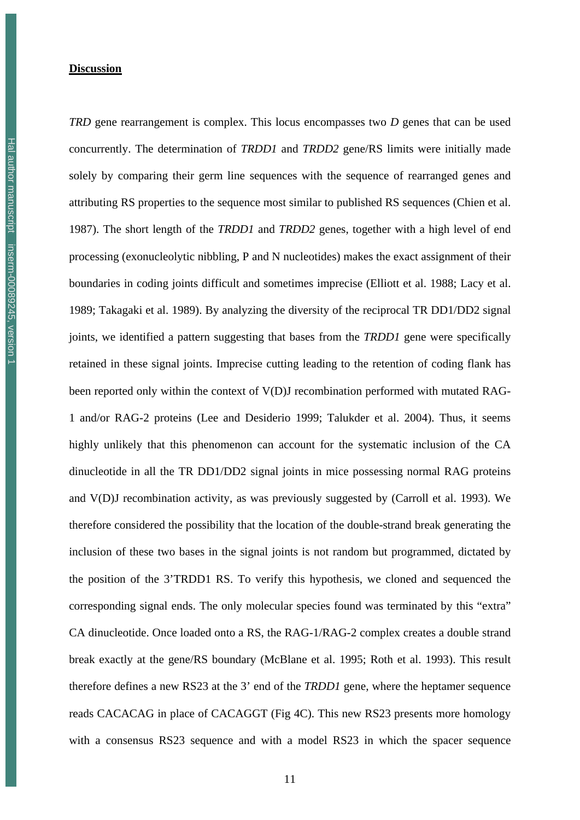#### **Discussion**

*TRD* gene rearrangement is complex. This locus encompasses two *D* genes that can be used concurrently. The determination of *TRDD1* and *TRDD2* gene/RS limits were initially made solely by comparing their germ line sequences with the sequence of rearranged genes and attributing RS properties to the sequence most similar to published RS sequences (Chien et al. 1987). The short length of the *TRDD1* and *TRDD2* genes, together with a high level of end processing (exonucleolytic nibbling, P and N nucleotides) makes the exact assignment of their boundaries in coding joints difficult and sometimes imprecise (Elliott et al. 1988; Lacy et al. 1989; Takagaki et al. 1989). By analyzing the diversity of the reciprocal TR DD1/DD2 signal joints, we identified a pattern suggesting that bases from the *TRDD1* gene were specifically retained in these signal joints. Imprecise cutting leading to the retention of coding flank has been reported only within the context of V(D)J recombination performed with mutated RAG-1 and/or RAG-2 proteins (Lee and Desiderio 1999; Talukder et al. 2004). Thus, it seems highly unlikely that this phenomenon can account for the systematic inclusion of the CA dinucleotide in all the TR DD1/DD2 signal joints in mice possessing normal RAG proteins and V(D)J recombination activity, as was previously suggested by (Carroll et al. 1993). We therefore considered the possibility that the location of the double-strand break generating the inclusion of these two bases in the signal joints is not random but programmed, dictated by the position of the 3'TRDD1 RS. To verify this hypothesis, we cloned and sequenced the corresponding signal ends. The only molecular species found was terminated by this "extra" CA dinucleotide. Once loaded onto a RS, the RAG-1/RAG-2 complex creates a double strand break exactly at the gene/RS boundary (McBlane et al. 1995; Roth et al. 1993). This result therefore defines a new RS23 at the 3' end of the *TRDD1* gene, where the heptamer sequence reads CACACAG in place of CACAGGT (Fig 4C). This new RS23 presents more homology with a consensus RS23 sequence and with a model RS23 in which the spacer sequence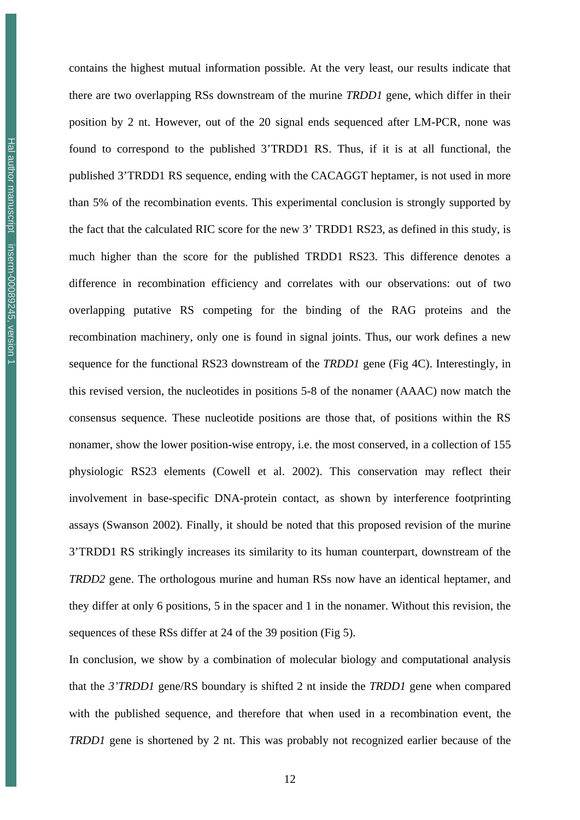contains the highest mutual information possible. At the very least, our results indicate that there are two overlapping RSs downstream of the murine *TRDD1* gene, which differ in their position by 2 nt. However, out of the 20 signal ends sequenced after LM-PCR, none was found to correspond to the published 3'TRDD1 RS. Thus, if it is at all functional, the published 3'TRDD1 RS sequence, ending with the CACAGGT heptamer, is not used in more than 5% of the recombination events. This experimental conclusion is strongly supported by the fact that the calculated RIC score for the new 3' TRDD1 RS23, as defined in this study, is much higher than the score for the published TRDD1 RS23. This difference denotes a difference in recombination efficiency and correlates with our observations: out of two overlapping putative RS competing for the binding of the RAG proteins and the recombination machinery, only one is found in signal joints. Thus, our work defines a new sequence for the functional RS23 downstream of the *TRDD1* gene (Fig 4C). Interestingly, in this revised version, the nucleotides in positions 5-8 of the nonamer (AAAC) now match the consensus sequence. These nucleotide positions are those that, of positions within the RS nonamer, show the lower position-wise entropy, i.e. the most conserved, in a collection of 155 physiologic RS23 elements (Cowell et al. 2002). This conservation may reflect their involvement in base-specific DNA-protein contact, as shown by interference footprinting assays (Swanson 2002). Finally, it should be noted that this proposed revision of the murine 3'TRDD1 RS strikingly increases its similarity to its human counterpart, downstream of the *TRDD2* gene. The orthologous murine and human RSs now have an identical heptamer, and they differ at only 6 positions, 5 in the spacer and 1 in the nonamer. Without this revision, the sequences of these RSs differ at 24 of the 39 position (Fig 5).

In conclusion, we show by a combination of molecular biology and computational analysis that the *3'TRDD1* gene/RS boundary is shifted 2 nt inside the *TRDD1* gene when compared with the published sequence, and therefore that when used in a recombination event, the *TRDD1* gene is shortened by 2 nt. This was probably not recognized earlier because of the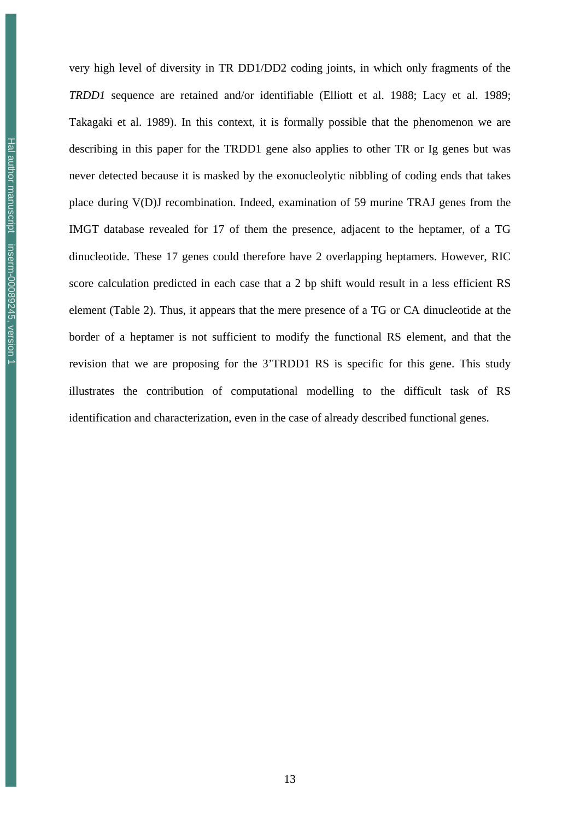very high level of diversity in TR DD1/DD2 coding joints, in which only fragments of the *TRDD1* sequence are retained and/or identifiable (Elliott et al. 1988; Lacy et al. 1989; Takagaki et al. 1989). In this context, it is formally possible that the phenomenon we are describing in this paper for the TRDD1 gene also applies to other TR or Ig genes but was never detected because it is masked by the exonucleolytic nibbling of coding ends that takes place during V(D)J recombination. Indeed, examination of 59 murine TRAJ genes from the IMGT database revealed for 17 of them the presence, adjacent to the heptamer, of a TG dinucleotide. These 17 genes could therefore have 2 overlapping heptamers. However, RIC score calculation predicted in each case that a 2 bp shift would result in a less efficient RS element (Table 2). Thus, it appears that the mere presence of a TG or CA dinucleotide at the border of a heptamer is not sufficient to modify the functional RS element, and that the revision that we are proposing for the 3'TRDD1 RS is specific for this gene. This study illustrates the contribution of computational modelling to the difficult task of RS identification and characterization, even in the case of already described functional genes.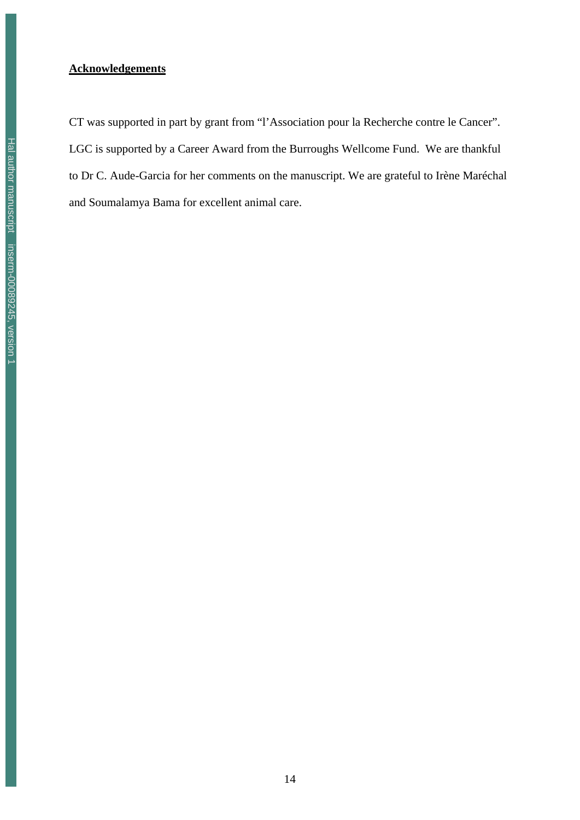#### **Acknowledgements**

CT was supported in part by grant from "l'Association pour la Recherche contre le Cancer". LGC is supported by a Career Award from the Burroughs Wellcome Fund. We are thankful to Dr C. Aude-Garcia for her comments on the manuscript. We are grateful to Irène Maréchal and Soumalamya Bama for excellent animal care.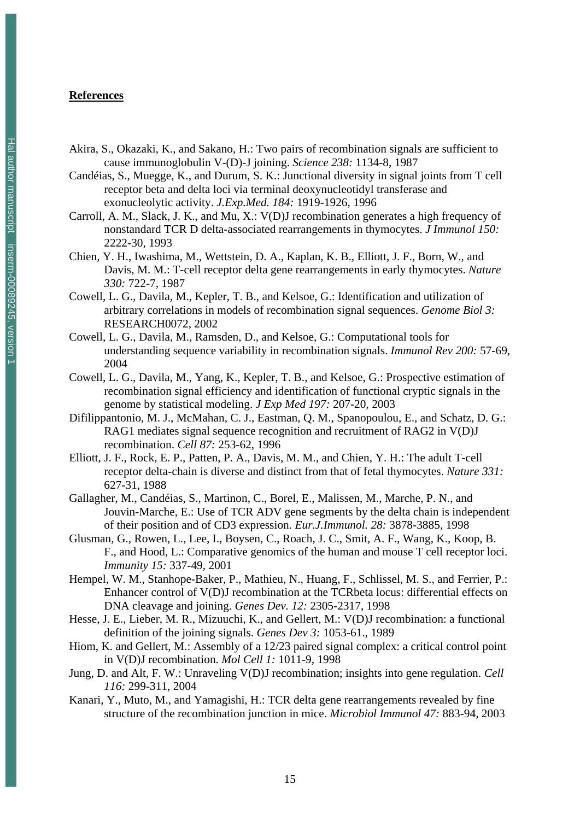#### **References**

- Akira, S., Okazaki, K., and Sakano, H.: Two pairs of recombination signals are sufficient to cause immunoglobulin V-(D)-J joining. *Science 238:* 1134-8, 1987
- Candéias, S., Muegge, K., and Durum, S. K.: Junctional diversity in signal joints from T cell receptor beta and delta loci via terminal deoxynucleotidyl transferase and exonucleolytic activity. *J.Exp.Med. 184:* 1919-1926, 1996
- Carroll, A. M., Slack, J. K., and Mu, X.: V(D)J recombination generates a high frequency of nonstandard TCR D delta-associated rearrangements in thymocytes. *J Immunol 150:* 2222-30, 1993
- Chien, Y. H., Iwashima, M., Wettstein, D. A., Kaplan, K. B., Elliott, J. F., Born, W., and Davis, M. M.: T-cell receptor delta gene rearrangements in early thymocytes. *Nature 330:* 722-7, 1987
- Cowell, L. G., Davila, M., Kepler, T. B., and Kelsoe, G.: Identification and utilization of arbitrary correlations in models of recombination signal sequences. *Genome Biol 3:* RESEARCH0072, 2002
- Cowell, L. G., Davila, M., Ramsden, D., and Kelsoe, G.: Computational tools for understanding sequence variability in recombination signals. *Immunol Rev 200:* 57-69, 2004
- Cowell, L. G., Davila, M., Yang, K., Kepler, T. B., and Kelsoe, G.: Prospective estimation of recombination signal efficiency and identification of functional cryptic signals in the genome by statistical modeling. *J Exp Med 197:* 207-20, 2003
- Difilippantonio, M. J., McMahan, C. J., Eastman, Q. M., Spanopoulou, E., and Schatz, D. G.: RAG1 mediates signal sequence recognition and recruitment of RAG2 in V(D)J recombination. *Cell 87:* 253-62, 1996
- Elliott, J. F., Rock, E. P., Patten, P. A., Davis, M. M., and Chien, Y. H.: The adult T-cell receptor delta-chain is diverse and distinct from that of fetal thymocytes. *Nature 331:* 627-31, 1988
- Gallagher, M., Candéias, S., Martinon, C., Borel, E., Malissen, M., Marche, P. N., and Jouvin-Marche, E.: Use of TCR ADV gene segments by the delta chain is independent of their position and of CD3 expression. *Eur.J.Immunol. 28:* 3878-3885, 1998
- Glusman, G., Rowen, L., Lee, I., Boysen, C., Roach, J. C., Smit, A. F., Wang, K., Koop, B. F., and Hood, L.: Comparative genomics of the human and mouse T cell receptor loci. *Immunity 15:* 337-49, 2001
- Hempel, W. M., Stanhope-Baker, P., Mathieu, N., Huang, F., Schlissel, M. S., and Ferrier, P.: Enhancer control of V(D)J recombination at the TCRbeta locus: differential effects on DNA cleavage and joining. *Genes Dev. 12:* 2305-2317, 1998
- Hesse, J. E., Lieber, M. R., Mizuuchi, K., and Gellert, M.: V(D)J recombination: a functional definition of the joining signals. *Genes Dev 3:* 1053-61., 1989
- Hiom, K. and Gellert, M.: Assembly of a 12/23 paired signal complex: a critical control point in V(D)J recombination. *Mol Cell 1:* 1011-9, 1998
- Jung, D. and Alt, F. W.: Unraveling V(D)J recombination; insights into gene regulation. *Cell 116:* 299-311, 2004
- Kanari, Y., Muto, M., and Yamagishi, H.: TCR delta gene rearrangements revealed by fine structure of the recombination junction in mice. *Microbiol Immunol 47:* 883-94, 2003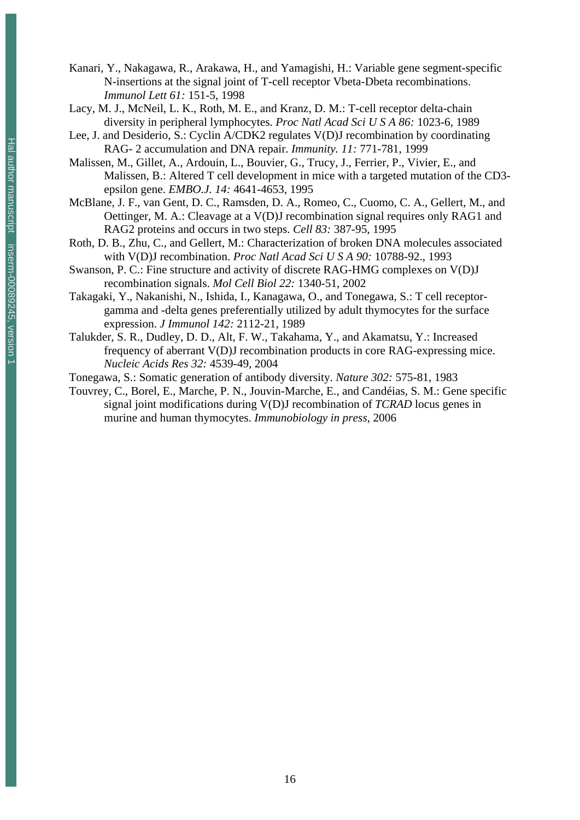- Kanari, Y., Nakagawa, R., Arakawa, H., and Yamagishi, H.: Variable gene segment-specific N-insertions at the signal joint of T-cell receptor Vbeta-Dbeta recombinations. *Immunol Lett 61:* 151-5, 1998
- Lacy, M. J., McNeil, L. K., Roth, M. E., and Kranz, D. M.: T-cell receptor delta-chain diversity in peripheral lymphocytes. *Proc Natl Acad Sci U S A 86:* 1023-6, 1989
- Lee, J. and Desiderio, S.: Cyclin A/CDK2 regulates V(D)J recombination by coordinating RAG- 2 accumulation and DNA repair. *Immunity. 11:* 771-781, 1999
- Malissen, M., Gillet, A., Ardouin, L., Bouvier, G., Trucy, J., Ferrier, P., Vivier, E., and Malissen, B.: Altered T cell development in mice with a targeted mutation of the CD3 epsilon gene. *EMBO.J. 14:* 4641-4653, 1995
- McBlane, J. F., van Gent, D. C., Ramsden, D. A., Romeo, C., Cuomo, C. A., Gellert, M., and Oettinger, M. A.: Cleavage at a V(D)J recombination signal requires only RAG1 and RAG2 proteins and occurs in two steps. *Cell 83:* 387-95, 1995
- Roth, D. B., Zhu, C., and Gellert, M.: Characterization of broken DNA molecules associated with V(D)J recombination. *Proc Natl Acad Sci U S A 90:* 10788-92., 1993
- Swanson, P. C.: Fine structure and activity of discrete RAG-HMG complexes on V(D)J recombination signals. *Mol Cell Biol 22:* 1340-51, 2002
- Takagaki, Y., Nakanishi, N., Ishida, I., Kanagawa, O., and Tonegawa, S.: T cell receptorgamma and -delta genes preferentially utilized by adult thymocytes for the surface expression. *J Immunol 142:* 2112-21, 1989
- Talukder, S. R., Dudley, D. D., Alt, F. W., Takahama, Y., and Akamatsu, Y.: Increased frequency of aberrant V(D)J recombination products in core RAG-expressing mice. *Nucleic Acids Res 32:* 4539-49, 2004
- Tonegawa, S.: Somatic generation of antibody diversity. *Nature 302:* 575-81, 1983
- Touvrey, C., Borel, E., Marche, P. N., Jouvin-Marche, E., and Candéias, S. M.: Gene specific signal joint modifications during V(D)J recombination of *TCRAD* locus genes in murine and human thymocytes. *Immunobiology in press*, 2006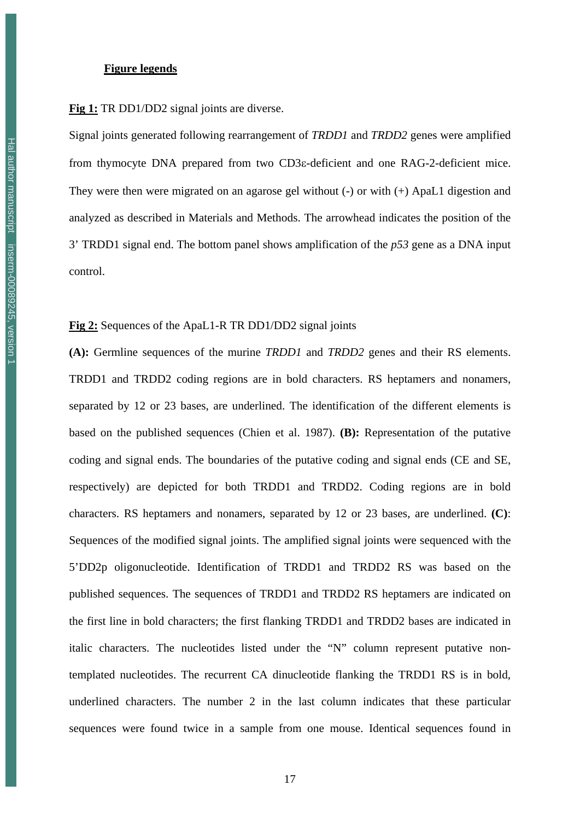#### **Figure legends**

**Fig 1:** TR DD1/DD2 signal joints are diverse.

Signal joints generated following rearrangement of *TRDD1* and *TRDD2* genes were amplified from thymocyte DNA prepared from two CD3ε-deficient and one RAG-2-deficient mice. They were then were migrated on an agarose gel without (-) or with (+) ApaL1 digestion and analyzed as described in Materials and Methods. The arrowhead indicates the position of the 3' TRDD1 signal end. The bottom panel shows amplification of the *p53* gene as a DNA input control.

**Fig 2:** Sequences of the ApaL1-R TR DD1/DD2 signal joints

**(A):** Germline sequences of the murine *TRDD1* and *TRDD2* genes and their RS elements. TRDD1 and TRDD2 coding regions are in bold characters. RS heptamers and nonamers, separated by 12 or 23 bases, are underlined. The identification of the different elements is based on the published sequences (Chien et al. 1987). **(B):** Representation of the putative coding and signal ends. The boundaries of the putative coding and signal ends (CE and SE, respectively) are depicted for both TRDD1 and TRDD2. Coding regions are in bold characters. RS heptamers and nonamers, separated by 12 or 23 bases, are underlined. **(C)**: Sequences of the modified signal joints. The amplified signal joints were sequenced with the 5'DD2p oligonucleotide. Identification of TRDD1 and TRDD2 RS was based on the published sequences. The sequences of TRDD1 and TRDD2 RS heptamers are indicated on the first line in bold characters; the first flanking TRDD1 and TRDD2 bases are indicated in italic characters. The nucleotides listed under the "N" column represent putative nontemplated nucleotides. The recurrent CA dinucleotide flanking the TRDD1 RS is in bold, underlined characters. The number 2 in the last column indicates that these particular sequences were found twice in a sample from one mouse. Identical sequences found in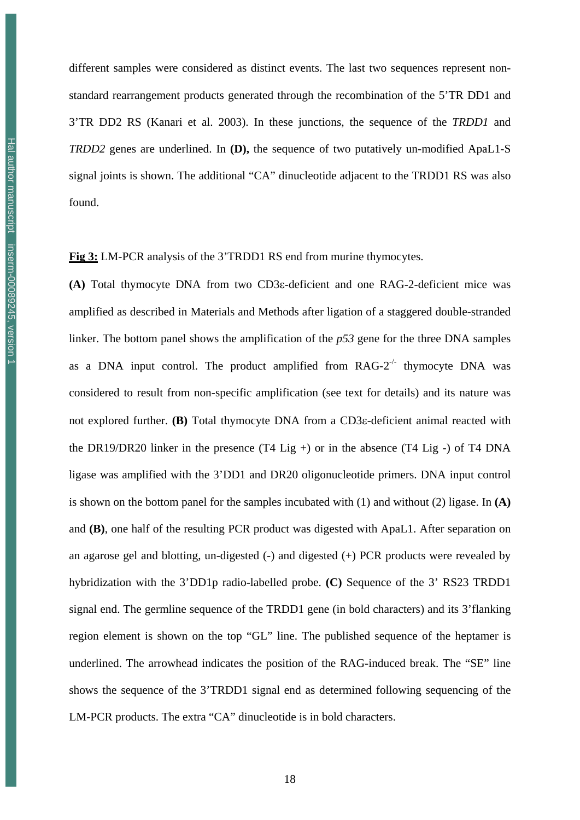different samples were considered as distinct events. The last two sequences represent nonstandard rearrangement products generated through the recombination of the 5'TR DD1 and 3'TR DD2 RS (Kanari et al. 2003). In these junctions, the sequence of the *TRDD1* and *TRDD2* genes are underlined. In **(D),** the sequence of two putatively un-modified ApaL1-S signal joints is shown. The additional "CA" dinucleotide adjacent to the TRDD1 RS was also found.

**Fig 3:** LM-PCR analysis of the 3'TRDD1 RS end from murine thymocytes.

**(A)** Total thymocyte DNA from two CD3ε-deficient and one RAG-2-deficient mice was amplified as described in Materials and Methods after ligation of a staggered double-stranded linker. The bottom panel shows the amplification of the *p53* gene for the three DNA samples as a DNA input control. The product amplified from  $RAG-2^{-/-}$  thymocyte DNA was considered to result from non-specific amplification (see text for details) and its nature was not explored further. **(B)** Total thymocyte DNA from a CD3ε-deficient animal reacted with the DR19/DR20 linker in the presence  $(T4 \text{ Lig} +)$  or in the absence  $(T4 \text{ Lig} -)$  of T4 DNA ligase was amplified with the 3'DD1 and DR20 oligonucleotide primers. DNA input control is shown on the bottom panel for the samples incubated with (1) and without (2) ligase. In **(A)** and **(B)**, one half of the resulting PCR product was digested with ApaL1. After separation on an agarose gel and blotting, un-digested (-) and digested (+) PCR products were revealed by hybridization with the 3'DD1p radio-labelled probe. **(C)** Sequence of the 3' RS23 TRDD1 signal end. The germline sequence of the TRDD1 gene (in bold characters) and its 3'flanking region element is shown on the top "GL" line. The published sequence of the heptamer is underlined. The arrowhead indicates the position of the RAG-induced break. The "SE" line shows the sequence of the 3'TRDD1 signal end as determined following sequencing of the LM-PCR products. The extra "CA" dinucleotide is in bold characters.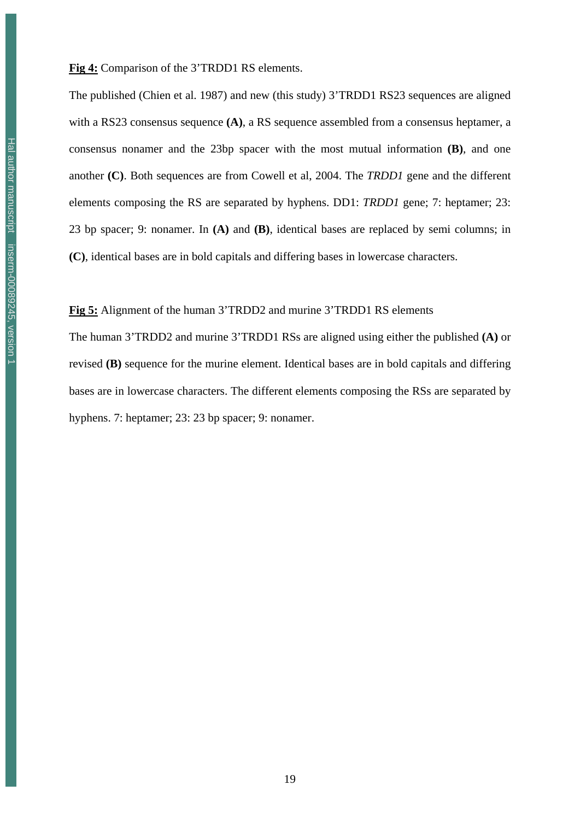The published (Chien et al. 1987) and new (this study) 3'TRDD1 RS23 sequences are aligned with a RS23 consensus sequence **(A)**, a RS sequence assembled from a consensus heptamer, a consensus nonamer and the 23bp spacer with the most mutual information **(B)**, and one another **(C)**. Both sequences are from Cowell et al, 2004. The *TRDD1* gene and the different elements composing the RS are separated by hyphens. DD1: *TRDD1* gene; 7: heptamer; 23: 23 bp spacer; 9: nonamer. In **(A)** and **(B)**, identical bases are replaced by semi columns; in **(C)**, identical bases are in bold capitals and differing bases in lowercase characters.

**Fig 5:** Alignment of the human 3'TRDD2 and murine 3'TRDD1 RS elements

The human 3'TRDD2 and murine 3'TRDD1 RSs are aligned using either the published **(A)** or revised **(B)** sequence for the murine element. Identical bases are in bold capitals and differing bases are in lowercase characters. The different elements composing the RSs are separated by hyphens. 7: heptamer; 23: 23 bp spacer; 9: nonamer.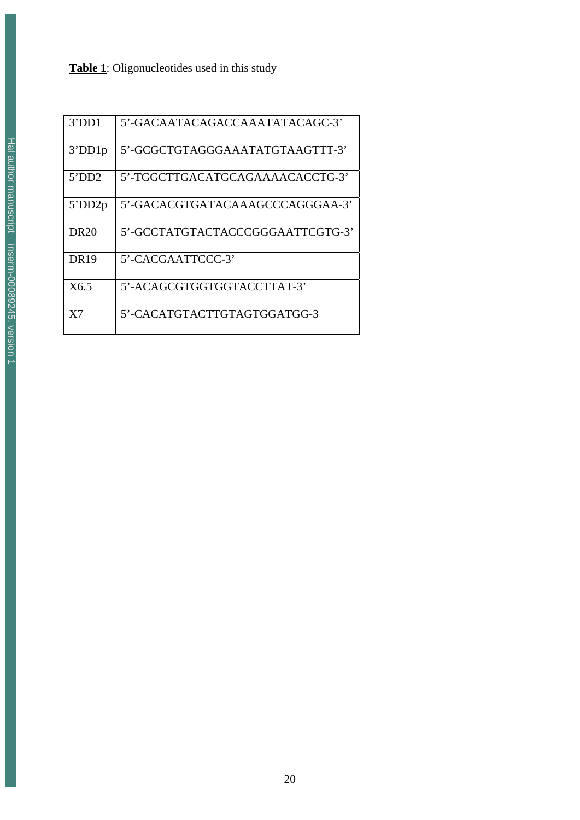### **Table 1**: Oligonucleotides used in this study

| 3'DD1            | 5'-GACAATACAGACCAAATATACAGC-3'   |
|------------------|----------------------------------|
| 3'DD1p           | 5'-GCGCTGTAGGGAAATATGTAAGTTT-3'  |
| 5'DD2            | 5'-TGGCTTGACATGCAGAAAACACCTG-3'  |
| $5^{\circ}DD2p$  | 5'-GACACGTGATACAAAGCCCAGGGAA-3'  |
| DR <sub>20</sub> | 5'-GCCTATGTACTACCCGGGAATTCGTG-3' |
| <b>DR19</b>      | 5'-CACGAATTCCC-3'                |
| X6.5             | 5'-ACAGCGTGGTGGTACCTTAT-3'       |
| X7               | 5'-CACATGTACTTGTAGTGGATGG-3      |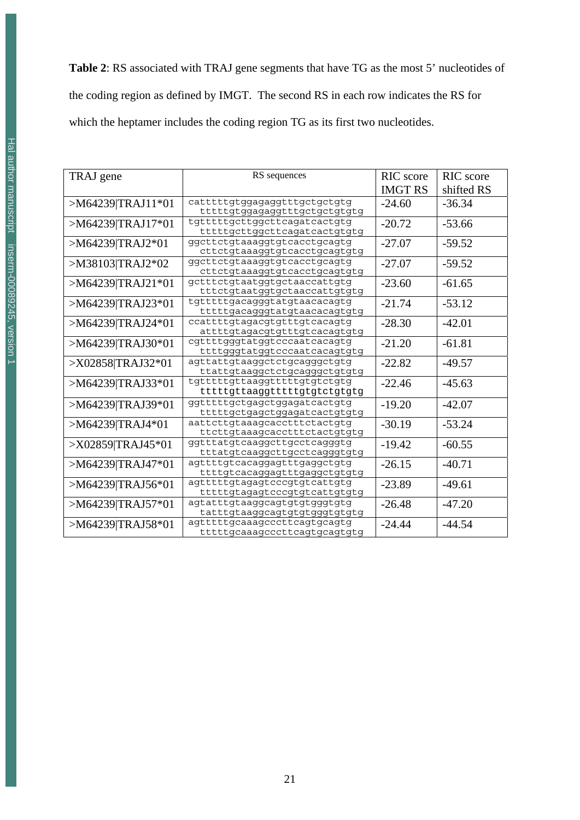**Table 2**: RS associated with TRAJ gene segments that have TG as the most 5' nucleotides of the coding region as defined by IMGT. The second RS in each row indicates the RS for which the heptamer includes the coding region TG as its first two nucleotides.

| TRAJ gene         | RS sequences                  | RIC score      | RIC score  |
|-------------------|-------------------------------|----------------|------------|
|                   |                               | <b>IMGT RS</b> | shifted RS |
| >M64239 TRAJ11*01 | catttttgtggagaggtttgctgctgtg  | $-24.60$       | $-36.34$   |
|                   | ttttttgtggagaggtttgctgctgtgtg |                |            |
| >M64239 TRAJ17*01 | tqttttttqcttqqcttcaqatcactqtq | $-20.72$       | $-53.66$   |
|                   | ttttttgcttggcttcagatcactgtgtg |                |            |
| >M64239 TRAJ2*01  | ggcttctgtaaaggtgtcacctgcagtg  | $-27.07$       | $-59.52$   |
|                   | cttctgtaaaggtgtcacctgcagtgtg  |                |            |
| >M38103 TRAJ2*02  | ggcttctgtaaaggtgtcacctgcagtg  | $-27.07$       | $-59.52$   |
|                   | cttctqtaaaqqtqtcacctqcaqtqtq  |                |            |
| >M64239 TRAJ21*01 | gctttctqtaatqqtqctaaccattqtq  | $-23.60$       | $-61.65$   |
|                   | tttctgtaatggtgctaaccattgtgtg  |                |            |
| >M64239 TRAJ23*01 | tgtttttgacagggtatgtaacacagtg  | $-21.74$       | $-53.12$   |
|                   | tttttgacagggtatgtaacacagtgtg  |                |            |
| >M64239 TRAJ24*01 | ccattttqtaqacqtqtttqtcacaqtq  | $-28.30$       | $-42.01$   |
|                   | attttqtaqacqtqtttqtcacaqtqtq  |                |            |
| >M64239 TRAJ30*01 | cgttttgggtatggtcccaatcacagtg  | $-21.20$       | $-61.81$   |
|                   | ttttgggtatggtcccaatcacagtgtg  |                |            |
| >X02858 TRAJ32*01 | agttattgtaaggctctgcagggctgtg  | $-22.82$       | $-49.57$   |
|                   | ttattgtaaggctctgcagggctgtgtg  |                |            |
| >M64239 TRAJ33*01 | tgttttttgttaaggtttttgtgtctgtg | $-22.46$       | $-45.63$   |
|                   | ttttttgttaaggtttttgtgtctgtgtg |                |            |
| >M64239 TRAJ39*01 | qqttttttqctqaqctqqaqatcactqtq | $-19.20$       | $-42.07$   |
|                   | ttttttgctgagctggagatcactgtgtg |                |            |
| >M64239 TRAJ4*01  | aattcttqtaaaqcacctttctactqtq  | $-30.19$       | $-53.24$   |
|                   | ttcttgtaaagcacctttctactgtgtg  |                |            |
| >X02859 TRAJ45*01 | ggtttatgtcaaggcttgcctcagggtg  | $-19.42$       | $-60.55$   |
|                   | tttatgtcaaggcttgcctcagggtgtg  |                |            |
| >M64239 TRAJ47*01 | agttttgtcacaggagtttgaggctgtg  | $-26.15$       | $-40.71$   |
|                   | ttttgtcacaggagtttgaggctgtgtg  |                |            |
| >M64239 TRAJ56*01 | agtttttgtagagtcccgtgtcattgtg  | $-23.89$       | $-49.61$   |
|                   | ttttttgtagagtcccgtgtcattgtgtg |                |            |
| >M64239 TRAJ57*01 | agtatttgtaaggcagtgtgtgggtgtg  | $-26.48$       | $-47.20$   |
|                   | tatttgtaaggcagtgtgtgggtgtgtg  |                |            |
| >M64239 TRAJ58*01 | agtttttgcaaagcccttcagtgcagtg  | $-24.44$       | $-44.54$   |
|                   | tttttgcaaagcccttcagtgcagtgtg  |                |            |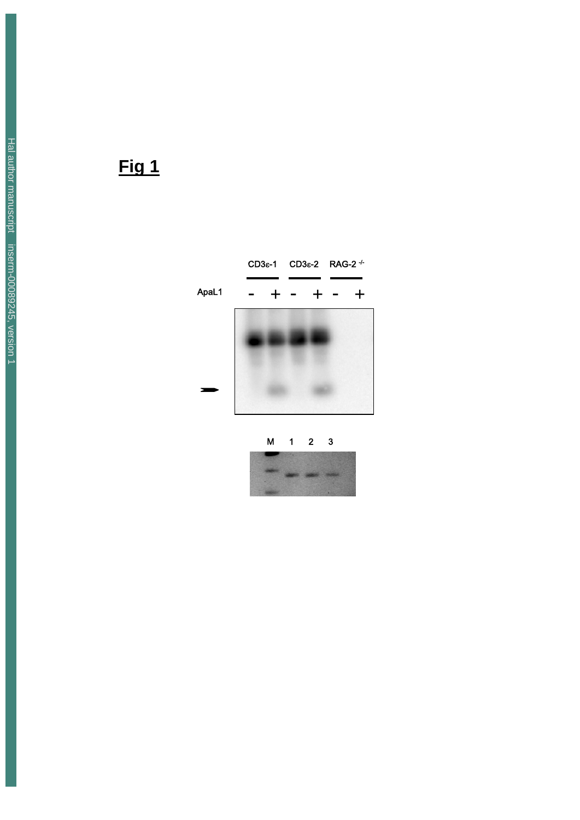

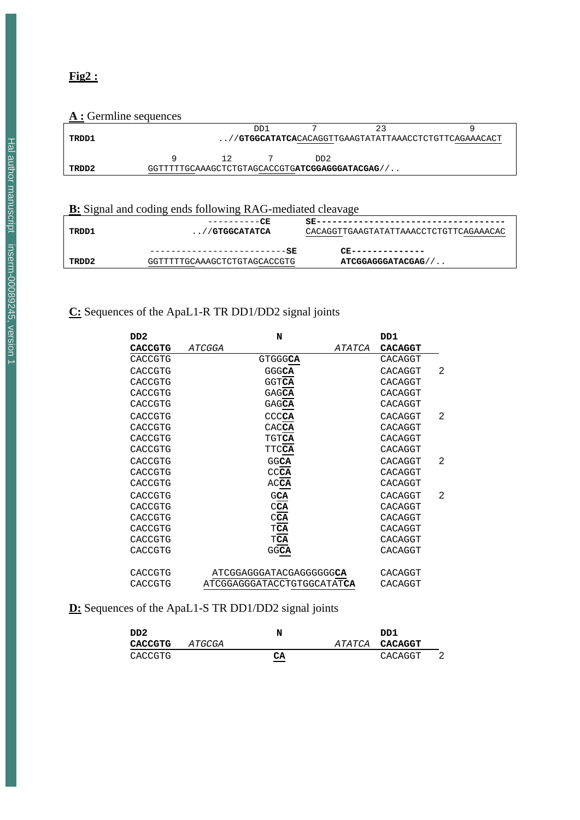### **A** : Germline sequences

| <u>11. Octrimine sequences</u> |                                                |     |                 |                                                      |
|--------------------------------|------------------------------------------------|-----|-----------------|------------------------------------------------------|
|                                |                                                | DD1 |                 |                                                      |
| TRDD1                          |                                                |     |                 | //GTGGCATATCACACAGGTTGAAGTATATTAAACCTCTGTTCAGAAACACT |
|                                |                                                |     |                 |                                                      |
|                                |                                                |     | DD <sub>2</sub> |                                                      |
| TRDD2                          | GGTTTTTGCAAAGCTCTGTAGCACCGTGATCGGAGGGATACGAG// |     |                 |                                                      |

### **B:** Signal and coding ends following RAG-mediated cleavage

| TRDD1 | ----------CR<br>$\ldots$ // GTGGCATATCA                              | CACAGGTTGAAGTATATTAAACCTCTGTTCAGAAACAC  |
|-------|----------------------------------------------------------------------|-----------------------------------------|
| TRDD2 | ------------------------- <b>-SR</b><br>GGTTTTTGCAAAGCTCTGTAGCACCGTG | CR---------------<br>ATCGGAGGGATACGAG// |

### **C:** Sequences of the ApaL1-R TR DD1/DD2 signal joints

| DD <sub>2</sub> | N                          | DD1            |   |
|-----------------|----------------------------|----------------|---|
| <b>CACCGTG</b>  | ATCGGA<br><i>ATATCA</i>    | <b>CACAGGT</b> |   |
| CACCGTG         | <b>GTGGGCA</b>             | CACAGGT        |   |
| CACCGTG         | GGGCA                      | CACAGGT        | 2 |
| CACCGTG         | <b>GGTCA</b>               | CACAGGT        |   |
| CACCGTG         | GAGCA                      | CACAGGT        |   |
| CACCGTG         | GAGCA                      | CACAGGT        |   |
| CACCGTG         | CCCCA                      | CACAGGT        | 2 |
| CACCGTG         | CACCA                      | CACAGGT        |   |
| CACCGTG         | TGTCA                      | CACAGGT        |   |
| CACCGTG         | <b>TTCCA</b>               | CACAGGT        |   |
| CACCGTG         | <b>GGCA</b>                | CACAGGT        | 2 |
| CACCGTG         | CCCA                       | CACAGGT        |   |
| CACCGTG         | AC <b>CA</b>               | CACAGGT        |   |
| CACCGTG         | GCA                        | CACAGGT        | 2 |
| CACCGTG         | $C\overline{CA}$           | CACAGGT        |   |
| CACCGTG         | CCA                        | CACAGGT        |   |
| CACCGTG         | $\mathbb{T}\mathbf{CA}$    | CACAGGT        |   |
| CACCGTG         | $\mathbb{T}\mathbf{CA}$    | CACAGGT        |   |
| CACCGTG         | GGCA                       | CACAGGT        |   |
| CACCGTG         | ATCGGAGGGATACGAGGGGGGCA    | CACAGGT        |   |
| CACCGTG         | ATCGGAGGGATACCTGTGGCATATCA | CACAGGT        |   |

### **D:** Sequences of the ApaL1-S TR DD1/DD2 signal joints

| DD2     |        | N                              | DD1            |  |
|---------|--------|--------------------------------|----------------|--|
| CACCGTG | ATGCGA |                                | ATATCA CACAGGT |  |
| CACCGTG |        | CA<br>$\overline{\phantom{a}}$ | CACAGGT        |  |

### **Fig2 :**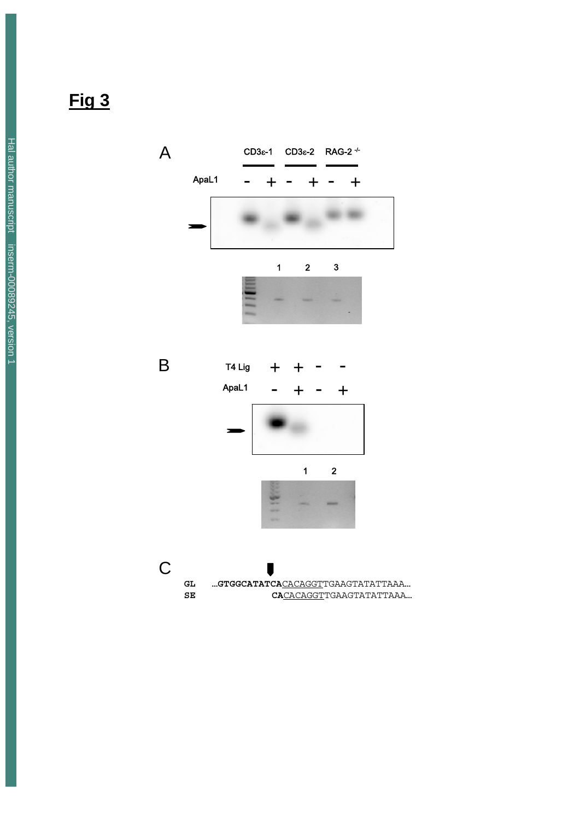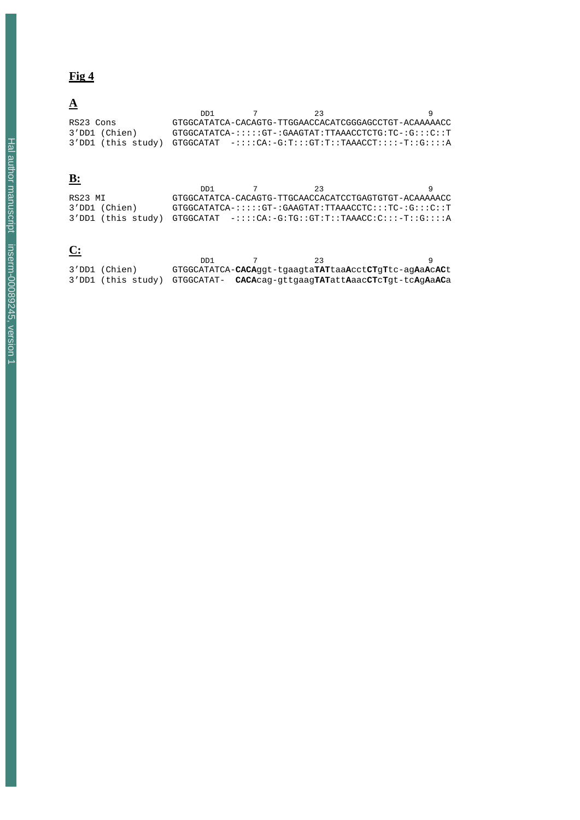# **A**

|                                                                         | 1תם | 23 |                                                        |
|-------------------------------------------------------------------------|-----|----|--------------------------------------------------------|
| RS23 Cons                                                               |     |    | GTGGCATATCA-CACAGTG-TTGGAACCACATCGGGAGCCTGT-ACAAAAACC  |
| 3'DD1 (Chien)                                                           |     |    | $GTGGCATATCA-:::::GT-.GAAGTAT:TTAAACCTCTG:TC-:G::C::T$ |
| 3'DD1 (this study) GTGGCATAT -::::CA:-G:T:::GT:T::TAAACCT::::-T::G::::A |     |    |                                                        |

# **B:**

|                                                                            | ו חח | -23 |                                                                      |
|----------------------------------------------------------------------------|------|-----|----------------------------------------------------------------------|
| RS23 MI                                                                    |      |     | GTGGCATATCA-CACAGTG-TTGCAACCACATCCTGAGTGTGT-ACAAAAACC                |
| 3'DD1 (Chien)                                                              |      |     | $GTGGCATATCA-}:$ :::: $GT-$ : $GAAGTAT:TTAAACCTC:::TC-$ : $G:::C::T$ |
| $3'$ DD1 (this study) GTGGCATAT -::::CA:-G:TG::GT:T::TAAACC:C:::-T::G::::A |      |     |                                                                      |

# **C:**

|               | 1תת |                                                                                                                                       |  |
|---------------|-----|---------------------------------------------------------------------------------------------------------------------------------------|--|
| 3'DD1 (Chien) |     | GTGGCATATCA-CACAggt-tgaagtaTATtaaAcctCTgTtc-agAaAcACt                                                                                 |  |
|               |     | 3'DD1 (this study) GTGGCATAT- <b>CACA</b> cag-gttgaag <b>TAT</b> att <b>A</b> aac <b>CT</b> c <b>T</b> qt-tc <b>A</b> g <b>AaAC</b> a |  |